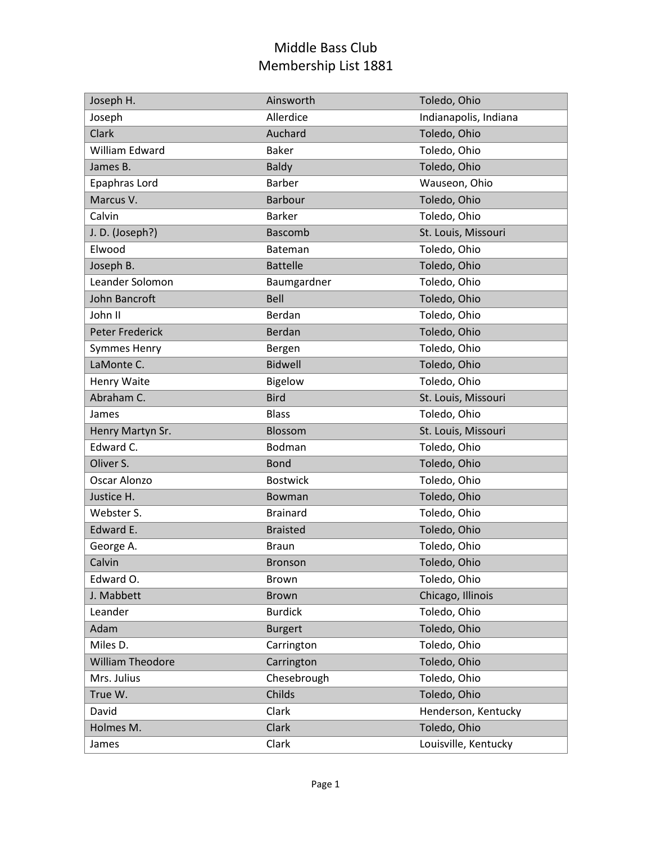| Joseph H.               | Ainsworth       | Toledo, Ohio          |
|-------------------------|-----------------|-----------------------|
| Joseph                  | Allerdice       | Indianapolis, Indiana |
| Clark                   | Auchard         | Toledo, Ohio          |
| William Edward          | <b>Baker</b>    | Toledo, Ohio          |
| James B.                | <b>Baldy</b>    | Toledo, Ohio          |
| Epaphras Lord           | <b>Barber</b>   | Wauseon, Ohio         |
| Marcus V.               | <b>Barbour</b>  | Toledo, Ohio          |
| Calvin                  | <b>Barker</b>   | Toledo, Ohio          |
| J.D. (Joseph?)          | <b>Bascomb</b>  | St. Louis, Missouri   |
| Elwood                  | Bateman         | Toledo, Ohio          |
| Joseph B.               | <b>Battelle</b> | Toledo, Ohio          |
| Leander Solomon         | Baumgardner     | Toledo, Ohio          |
| John Bancroft           | <b>Bell</b>     | Toledo, Ohio          |
| John II                 | Berdan          | Toledo, Ohio          |
| <b>Peter Frederick</b>  | <b>Berdan</b>   | Toledo, Ohio          |
| <b>Symmes Henry</b>     | Bergen          | Toledo, Ohio          |
| LaMonte C.              | <b>Bidwell</b>  | Toledo, Ohio          |
| Henry Waite             | Bigelow         | Toledo, Ohio          |
| Abraham C.              | <b>Bird</b>     | St. Louis, Missouri   |
| James                   | <b>Blass</b>    | Toledo, Ohio          |
| Henry Martyn Sr.        | Blossom         | St. Louis, Missouri   |
| Edward C.               | Bodman          | Toledo, Ohio          |
| Oliver S.               | <b>Bond</b>     | Toledo, Ohio          |
| Oscar Alonzo            | <b>Bostwick</b> | Toledo, Ohio          |
| Justice H.              | Bowman          | Toledo, Ohio          |
| Webster S.              | <b>Brainard</b> | Toledo, Ohio          |
| Edward E.               | <b>Braisted</b> | Toledo, Ohio          |
| George A.               | <b>Braun</b>    | Toledo, Ohio          |
| Calvin                  | <b>Bronson</b>  | Toledo, Ohio          |
| Edward O.               | Brown           | Toledo, Ohio          |
| J. Mabbett              | <b>Brown</b>    | Chicago, Illinois     |
| Leander                 | <b>Burdick</b>  | Toledo, Ohio          |
| Adam                    | <b>Burgert</b>  | Toledo, Ohio          |
| Miles D.                | Carrington      | Toledo, Ohio          |
| <b>William Theodore</b> | Carrington      | Toledo, Ohio          |
| Mrs. Julius             | Chesebrough     | Toledo, Ohio          |
| True W.                 | Childs          | Toledo, Ohio          |
| David                   | Clark           | Henderson, Kentucky   |
| Holmes M.               | Clark           | Toledo, Ohio          |
| James                   | Clark           | Louisville, Kentucky  |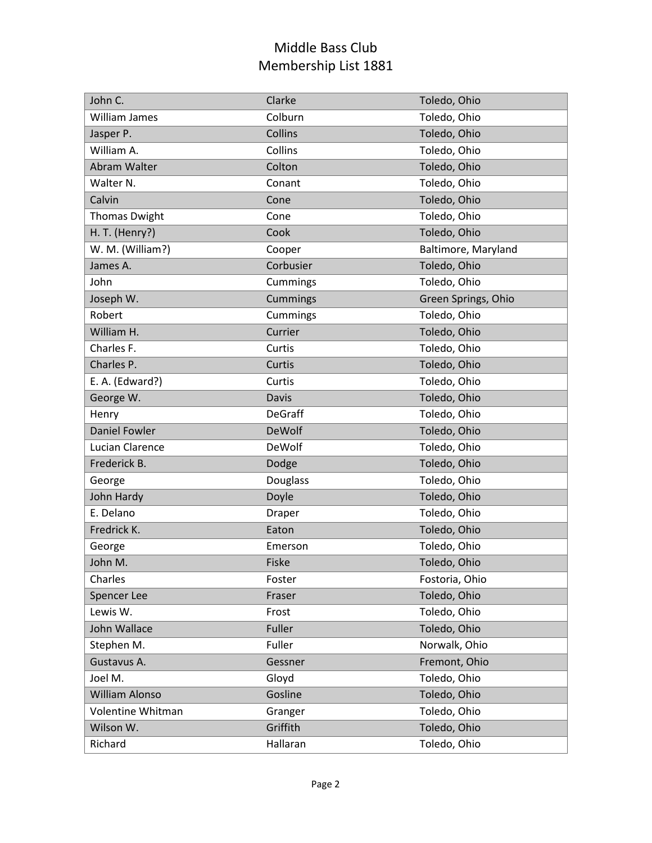| John C.               | Clarke        | Toledo, Ohio        |
|-----------------------|---------------|---------------------|
| William James         | Colburn       | Toledo, Ohio        |
| Jasper P.             | Collins       | Toledo, Ohio        |
| William A.            | Collins       | Toledo, Ohio        |
| Abram Walter          | Colton        | Toledo, Ohio        |
| Walter N.             | Conant        | Toledo, Ohio        |
| Calvin                | Cone          | Toledo, Ohio        |
| <b>Thomas Dwight</b>  | Cone          | Toledo, Ohio        |
| H. T. (Henry?)        | Cook          | Toledo, Ohio        |
| W. M. (William?)      | Cooper        | Baltimore, Maryland |
| James A.              | Corbusier     | Toledo, Ohio        |
| John                  | Cummings      | Toledo, Ohio        |
| Joseph W.             | Cummings      | Green Springs, Ohio |
| Robert                | Cummings      | Toledo, Ohio        |
| William H.            | Currier       | Toledo, Ohio        |
| Charles F.            | Curtis        | Toledo, Ohio        |
| Charles P.            | Curtis        | Toledo, Ohio        |
| E. A. (Edward?)       | Curtis        | Toledo, Ohio        |
| George W.             | Davis         | Toledo, Ohio        |
| Henry                 | DeGraff       | Toledo, Ohio        |
| <b>Daniel Fowler</b>  | <b>DeWolf</b> | Toledo, Ohio        |
| Lucian Clarence       | <b>DeWolf</b> | Toledo, Ohio        |
| Frederick B.          | Dodge         | Toledo, Ohio        |
| George                | Douglass      | Toledo, Ohio        |
| John Hardy            | Doyle         | Toledo, Ohio        |
| E. Delano             | Draper        | Toledo, Ohio        |
| Fredrick K.           | Eaton         | Toledo, Ohio        |
| George                | Emerson       | Toledo, Ohio        |
| John M.               | Fiske         | Toledo, Ohio        |
| Charles               | Foster        | Fostoria, Ohio      |
| <b>Spencer Lee</b>    | Fraser        | Toledo, Ohio        |
| Lewis W.              | Frost         | Toledo, Ohio        |
| John Wallace          |               |                     |
|                       | Fuller        | Toledo, Ohio        |
| Stephen M.            | Fuller        | Norwalk, Ohio       |
| Gustavus A.           | Gessner       | Fremont, Ohio       |
| Joel M.               | Gloyd         | Toledo, Ohio        |
| <b>William Alonso</b> | Gosline       | Toledo, Ohio        |
| Volentine Whitman     | Granger       | Toledo, Ohio        |
| Wilson W.             | Griffith      | Toledo, Ohio        |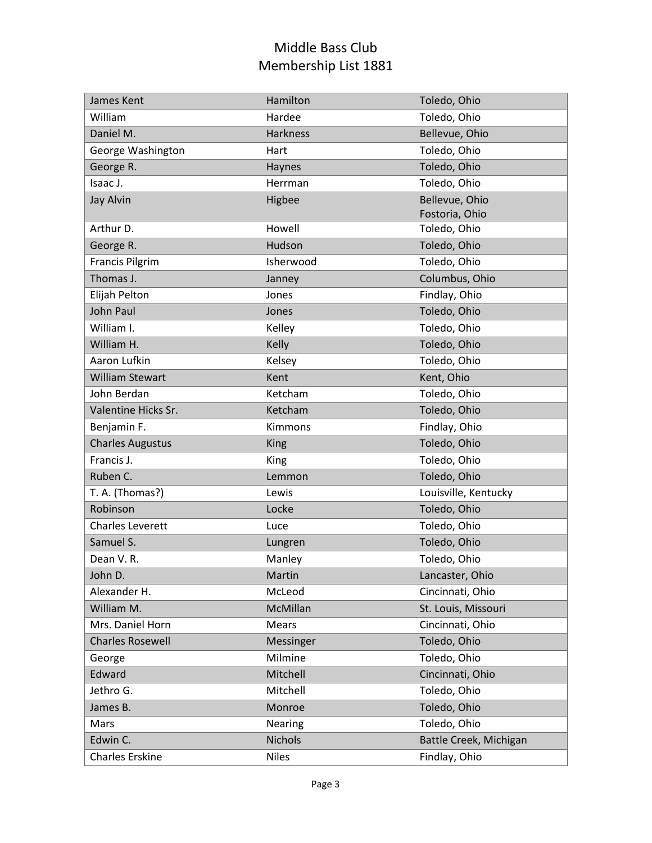| James Kent              | Hamilton        | Toledo, Ohio           |
|-------------------------|-----------------|------------------------|
| William                 | Hardee          | Toledo, Ohio           |
| Daniel M.               | <b>Harkness</b> | Bellevue, Ohio         |
| George Washington       | Hart            | Toledo, Ohio           |
| George R.               | Haynes          | Toledo, Ohio           |
| Isaac J.                | Herrman         | Toledo, Ohio           |
| <b>Jay Alvin</b>        | Higbee          | Bellevue, Ohio         |
|                         |                 | Fostoria, Ohio         |
| Arthur D.               | Howell          | Toledo, Ohio           |
| George R.               | Hudson          | Toledo, Ohio           |
| <b>Francis Pilgrim</b>  | Isherwood       | Toledo, Ohio           |
| Thomas J.               | Janney          | Columbus, Ohio         |
| Elijah Pelton           | Jones           | Findlay, Ohio          |
| <b>John Paul</b>        | Jones           | Toledo, Ohio           |
| William I.              | Kelley          | Toledo, Ohio           |
| William H.              | Kelly           | Toledo, Ohio           |
| Aaron Lufkin            | Kelsey          | Toledo, Ohio           |
| <b>William Stewart</b>  | Kent            | Kent, Ohio             |
| John Berdan             | Ketcham         | Toledo, Ohio           |
| Valentine Hicks Sr.     | Ketcham         | Toledo, Ohio           |
| Benjamin F.             | Kimmons         | Findlay, Ohio          |
| <b>Charles Augustus</b> | King            | Toledo, Ohio           |
| Francis J.              | King            | Toledo, Ohio           |
| Ruben C.                | Lemmon          | Toledo, Ohio           |
| T. A. (Thomas?)         | Lewis           | Louisville, Kentucky   |
| Robinson                | Locke           | Toledo, Ohio           |
| <b>Charles Leverett</b> | Luce            | Toledo, Ohio           |
| Samuel S.               | Lungren         | Toledo, Ohio           |
| Dean V.R.               | Manley          | Toledo, Ohio           |
| John D.                 | Martin          | Lancaster, Ohio        |
| Alexander H.            | McLeod          | Cincinnati, Ohio       |
| William M.              | McMillan        | St. Louis, Missouri    |
| Mrs. Daniel Horn        | Mears           | Cincinnati, Ohio       |
| <b>Charles Rosewell</b> | Messinger       | Toledo, Ohio           |
| George                  | Milmine         | Toledo, Ohio           |
| Edward                  | Mitchell        | Cincinnati, Ohio       |
| Jethro G.               | Mitchell        | Toledo, Ohio           |
| James B.                | Monroe          | Toledo, Ohio           |
| Mars                    | Nearing         | Toledo, Ohio           |
| Edwin C.                | <b>Nichols</b>  | Battle Creek, Michigan |
| <b>Charles Erskine</b>  | <b>Niles</b>    | Findlay, Ohio          |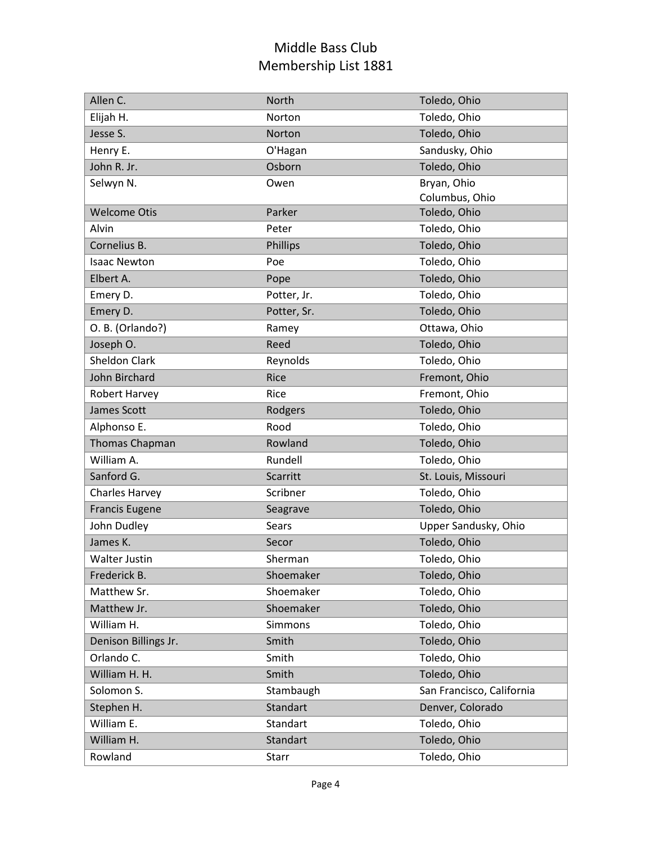| Allen C.              | North       | Toledo, Ohio              |
|-----------------------|-------------|---------------------------|
| Elijah H.             | Norton      | Toledo, Ohio              |
| Jesse S.              | Norton      | Toledo, Ohio              |
| Henry E.              | O'Hagan     | Sandusky, Ohio            |
| John R. Jr.           | Osborn      | Toledo, Ohio              |
| Selwyn N.             | Owen        | Bryan, Ohio               |
|                       |             | Columbus, Ohio            |
| <b>Welcome Otis</b>   | Parker      | Toledo, Ohio              |
| Alvin                 | Peter       | Toledo, Ohio              |
| Cornelius B.          | Phillips    | Toledo, Ohio              |
| <b>Isaac Newton</b>   | Poe         | Toledo, Ohio              |
| Elbert A.             | Pope        | Toledo, Ohio              |
| Emery D.              | Potter, Jr. | Toledo, Ohio              |
| Emery D.              | Potter, Sr. | Toledo, Ohio              |
| O. B. (Orlando?)      | Ramey       | Ottawa, Ohio              |
| Joseph O.             | Reed        | Toledo, Ohio              |
| <b>Sheldon Clark</b>  | Reynolds    | Toledo, Ohio              |
| John Birchard         | Rice        | Fremont, Ohio             |
| <b>Robert Harvey</b>  | Rice        | Fremont, Ohio             |
| James Scott           | Rodgers     | Toledo, Ohio              |
| Alphonso E.           | Rood        | Toledo, Ohio              |
| Thomas Chapman        | Rowland     | Toledo, Ohio              |
| William A.            | Rundell     | Toledo, Ohio              |
| Sanford G.            | Scarritt    | St. Louis, Missouri       |
| <b>Charles Harvey</b> | Scribner    | Toledo, Ohio              |
| <b>Francis Eugene</b> | Seagrave    | Toledo, Ohio              |
| John Dudley           | Sears       | Upper Sandusky, Ohio      |
| James K.              | Secor       | Toledo, Ohio              |
| <b>Walter Justin</b>  | Sherman     | Toledo, Ohio              |
| Frederick B.          | Shoemaker   | Toledo, Ohio              |
| Matthew Sr.           | Shoemaker   | Toledo, Ohio              |
| Matthew Jr.           | Shoemaker   | Toledo, Ohio              |
| William H.            | Simmons     | Toledo, Ohio              |
| Denison Billings Jr.  | Smith       | Toledo, Ohio              |
| Orlando C.            | Smith       | Toledo, Ohio              |
| William H. H.         | Smith       | Toledo, Ohio              |
| Solomon S.            | Stambaugh   | San Francisco, California |
| Stephen H.            | Standart    | Denver, Colorado          |
| William E.            | Standart    | Toledo, Ohio              |
| William H.            | Standart    | Toledo, Ohio              |
| Rowland               | Starr       | Toledo, Ohio              |